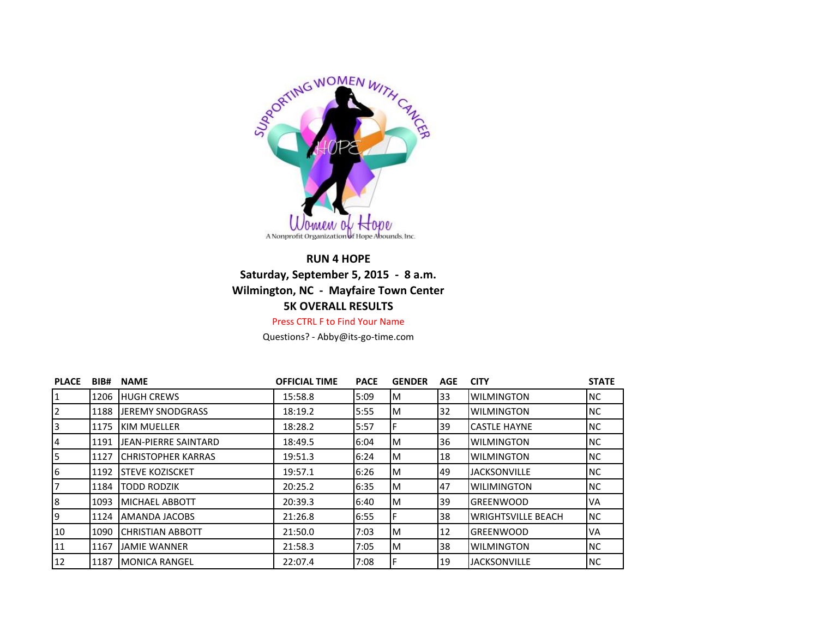

## **RUN 4 HOPE Saturday, September 5, 2015 - 8 a.m. Wilmington, NC - Mayfaire Town Center 5K OVERALL RESULTS** Press CTRL F to Find Your Name

Questions? - Abby@its-go-time.com

| <b>PLACE</b>   | BIB# | <b>NAME</b>                 | <b>OFFICIAL TIME</b> | <b>PACE</b> | <b>GENDER</b> | <b>AGE</b> | <b>CITY</b>               | <b>STATE</b> |
|----------------|------|-----------------------------|----------------------|-------------|---------------|------------|---------------------------|--------------|
| $\mathbf{1}$   | 1206 | <b>HUGH CREWS</b>           | 15:58.8              | 5:09        | м             | 33         | <b>WILMINGTON</b>         | <b>NC</b>    |
| 2              | 1188 | <b>JEREMY SNODGRASS</b>     | 18:19.2              | 5:55        | м             | 32         | <b>WILMINGTON</b>         | <b>NC</b>    |
| 3              | 1175 | <b>KIM MUELLER</b>          | 18:28.2              | 5:57        |               | 39         | <b>CASTLE HAYNE</b>       | <b>NC</b>    |
| 4              | 1191 | JEAN-PIERRE SAINTARD        | 18:49.5              | 6:04        | м             | 36         | <b>WILMINGTON</b>         | <b>NC</b>    |
| 5              | 1127 | <b>I</b> CHRISTOPHER KARRAS | 19:51.3              | 6:24        | м             | 18         | <b>WILMINGTON</b>         | NC.          |
| 6              | 1192 | <b>I</b> STEVE KOZISCKET    | 19:57.1              | 6:26        | м             | 49         | <b>JACKSONVILLE</b>       | NC.          |
| $\overline{7}$ | 1184 | <b>TODD RODZIK</b>          | 20:25.2              | 6:35        | M             | 47         | <b>WILIMINGTON</b>        | <b>NC</b>    |
| 8              | 1093 | MICHAEL ABBOTT              | 20:39.3              | 6:40        | M             | 39         | <b>GREENWOOD</b>          | <b>VA</b>    |
| 9              | 1124 | AMANDA JACOBS               | 21:26.8              | 6:55        | F             | 38         | <b>WRIGHTSVILLE BEACH</b> | <b>NC</b>    |
| 10             | 1090 | <b>CHRISTIAN ABBOTT</b>     | 21:50.0              | 7:03        | M             | 12         | <b>GREENWOOD</b>          | <b>VA</b>    |
| 11             | 1167 | JAMIE WANNER                | 21:58.3              | 7:05        | M             | 38         | <b>WILMINGTON</b>         | INC.         |
| 12             | 1187 | <b>MONICA RANGEL</b>        | 22:07.4              | 7:08        |               | 19         | <b>JACKSONVILLE</b>       | INC.         |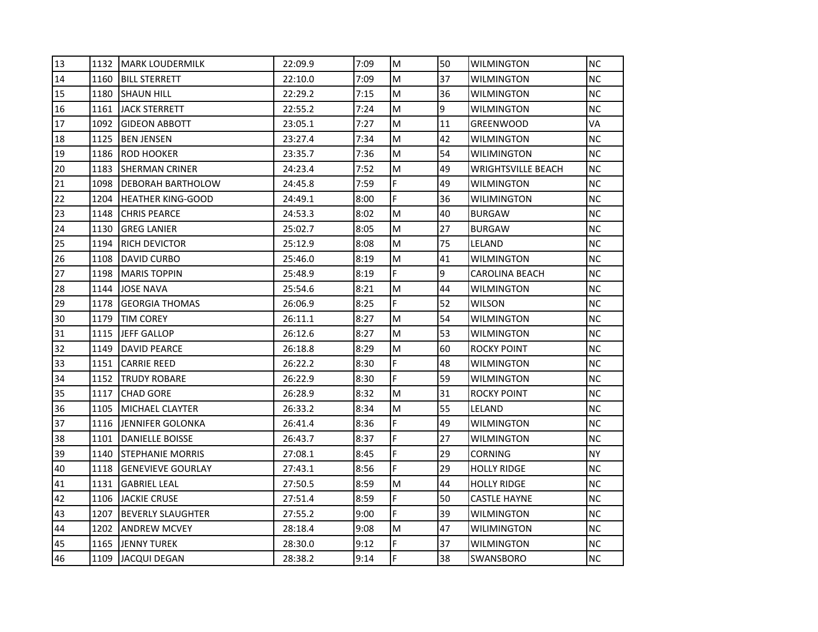| 13 | 1132 | <b>MARK LOUDERMILK</b>   | 22:09.9 | 7:09 | M  | 50 | <b>WILMINGTON</b>         | <b>NC</b> |
|----|------|--------------------------|---------|------|----|----|---------------------------|-----------|
| 14 | 1160 | <b>BILL STERRETT</b>     | 22:10.0 | 7:09 | M  | 37 | WILMINGTON                | <b>NC</b> |
| 15 | 1180 | <b>SHAUN HILL</b>        | 22:29.2 | 7:15 | M  | 36 | <b>WILMINGTON</b>         | <b>NC</b> |
| 16 | 1161 | IJACK STERRETT           | 22:55.2 | 7:24 | M  | 9  | <b>WILMINGTON</b>         | <b>NC</b> |
| 17 | 1092 | <b>GIDEON ABBOTT</b>     | 23:05.1 | 7:27 | M  | 11 | <b>GREENWOOD</b>          | VA        |
| 18 | 1125 | <b>BEN JENSEN</b>        | 23:27.4 | 7:34 | M  | 42 | WILMINGTON                | <b>NC</b> |
| 19 | 1186 | <b>ROD HOOKER</b>        | 23:35.7 | 7:36 | M  | 54 | WILIMINGTON               | <b>NC</b> |
| 20 | 1183 | ISHERMAN CRINER          | 24:23.4 | 7:52 | M  | 49 | <b>WRIGHTSVILLE BEACH</b> | <b>NC</b> |
| 21 | 1098 | <b>DEBORAH BARTHOLOW</b> | 24:45.8 | 7:59 | F  | 49 | <b>WILMINGTON</b>         | <b>NC</b> |
| 22 | 1204 | <b>HEATHER KING-GOOD</b> | 24:49.1 | 8:00 | F  | 36 | <b>WILIMINGTON</b>        | <b>NC</b> |
| 23 | 1148 | <b>CHRIS PEARCE</b>      | 24:53.3 | 8:02 | M  | 40 | <b>BURGAW</b>             | <b>NC</b> |
| 24 | 1130 | <b>GREG LANIER</b>       | 25:02.7 | 8:05 | M  | 27 | <b>BURGAW</b>             | <b>NC</b> |
| 25 | 1194 | IRICH DEVICTOR           | 25:12.9 | 8:08 | M  | 75 | LELAND                    | <b>NC</b> |
| 26 | 1108 | DAVID CURBO              | 25:46.0 | 8:19 | M  | 41 | <b>WILMINGTON</b>         | <b>NC</b> |
| 27 | 1198 | <b>MARIS TOPPIN</b>      | 25:48.9 | 8:19 | F  | 9  | <b>CAROLINA BEACH</b>     | <b>NC</b> |
| 28 | 1144 | <b>JOSE NAVA</b>         | 25:54.6 | 8:21 | M  | 44 | WILMINGTON                | <b>NC</b> |
| 29 | 1178 | <b>GEORGIA THOMAS</b>    | 26:06.9 | 8:25 | F  | 52 | WILSON                    | <b>NC</b> |
| 30 | 1179 | <b>TIM COREY</b>         | 26:11.1 | 8:27 | M  | 54 | <b>WILMINGTON</b>         | <b>NC</b> |
| 31 | 1115 | <b>JEFF GALLOP</b>       | 26:12.6 | 8:27 | M  | 53 | <b>WILMINGTON</b>         | <b>NC</b> |
| 32 | 1149 | <b>DAVID PEARCE</b>      | 26:18.8 | 8:29 | M  | 60 | ROCKY POINT               | <b>NC</b> |
| 33 | 1151 | <b>CARRIE REED</b>       | 26:22.2 | 8:30 | F  | 48 | WILMINGTON                | <b>NC</b> |
| 34 | 1152 | <b>TRUDY ROBARE</b>      | 26:22.9 | 8:30 | F  | 59 | WILMINGTON                | <b>NC</b> |
| 35 | 1117 | <b>CHAD GORE</b>         | 26:28.9 | 8:32 | M  | 31 | <b>ROCKY POINT</b>        | <b>NC</b> |
| 36 | 1105 | <b>MICHAEL CLAYTER</b>   | 26:33.2 | 8:34 | M  | 55 | LELAND                    | <b>NC</b> |
| 37 | 1116 | JENNIFER GOLONKA         | 26:41.4 | 8:36 | F  | 49 | <b>WILMINGTON</b>         | <b>NC</b> |
| 38 | 1101 | <b>DANIELLE BOISSE</b>   | 26:43.7 | 8:37 | F  | 27 | WILMINGTON                | <b>NC</b> |
| 39 | 1140 | <b>ISTEPHANIE MORRIS</b> | 27:08.1 | 8:45 | F  | 29 | <b>CORNING</b>            | <b>NY</b> |
| 40 | 1118 | <b>GENEVIEVE GOURLAY</b> | 27:43.1 | 8:56 | F. | 29 | <b>HOLLY RIDGE</b>        | <b>NC</b> |
| 41 | 1131 | <b>GABRIEL LEAL</b>      | 27:50.5 | 8:59 | M  | 44 | <b>HOLLY RIDGE</b>        | <b>NC</b> |
| 42 | 1106 | <b>JACKIE CRUSE</b>      | 27:51.4 | 8:59 | F  | 50 | <b>CASTLE HAYNE</b>       | <b>NC</b> |
| 43 | 1207 | <b>BEVERLY SLAUGHTER</b> | 27:55.2 | 9:00 | F  | 39 | WILMINGTON                | <b>NC</b> |
| 44 | 1202 | <b>ANDREW MCVEY</b>      | 28:18.4 | 9:08 | M  | 47 | WILIMINGTON               | <b>NC</b> |
| 45 | 1165 | <b>JENNY TUREK</b>       | 28:30.0 | 9:12 | F. | 37 | <b>WILMINGTON</b>         | <b>NC</b> |
| 46 | 1109 | <b>JACQUI DEGAN</b>      | 28:38.2 | 9:14 | F  | 38 | SWANSBORO                 | <b>NC</b> |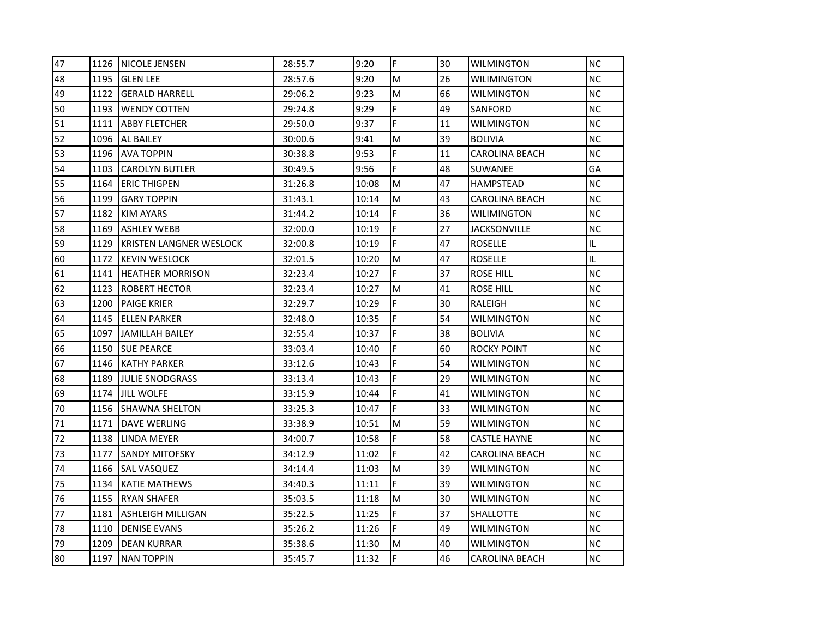| 47 | 1126 | <b>NICOLE JENSEN</b>           | 28:55.7 | 9:20  | F | 30 | WILMINGTON            | <b>NC</b> |
|----|------|--------------------------------|---------|-------|---|----|-----------------------|-----------|
| 48 | 1195 | <b>IGLEN LEE</b>               | 28:57.6 | 9:20  | M | 26 | <b>WILIMINGTON</b>    | <b>NC</b> |
| 49 | 1122 | <b>GERALD HARRELL</b>          | 29:06.2 | 9:23  | M | 66 | <b>WILMINGTON</b>     | NC        |
| 50 | 1193 | <b>IWENDY COTTEN</b>           | 29:24.8 | 9:29  | F | 49 | SANFORD               | <b>NC</b> |
| 51 | 1111 | <b>ABBY FLETCHER</b>           | 29:50.0 | 9:37  | F | 11 | WILMINGTON            | <b>NC</b> |
| 52 | 1096 | AL BAILEY                      | 30:00.6 | 9:41  | M | 39 | <b>BOLIVIA</b>        | NC.       |
| 53 | 1196 | <b>AVA TOPPIN</b>              | 30:38.8 | 9:53  | F | 11 | <b>CAROLINA BEACH</b> | NC.       |
| 54 | 1103 | <b>CAROLYN BUTLER</b>          | 30:49.5 | 9:56  | F | 48 | SUWANEE               | GA        |
| 55 | 1164 | <b>ERIC THIGPEN</b>            | 31:26.8 | 10:08 | M | 47 | HAMPSTEAD             | <b>NC</b> |
| 56 | 1199 | <b>GARY TOPPIN</b>             | 31:43.1 | 10:14 | M | 43 | CAROLINA BEACH        | <b>NC</b> |
| 57 | 1182 | <b>KIM AYARS</b>               | 31:44.2 | 10:14 | F | 36 | <b>WILIMINGTON</b>    | NC.       |
| 58 | 1169 | <b>ASHLEY WEBB</b>             | 32:00.0 | 10:19 | F | 27 | <b>JACKSONVILLE</b>   | <b>NC</b> |
| 59 | 1129 | <b>KRISTEN LANGNER WESLOCK</b> | 32:00.8 | 10:19 | F | 47 | <b>ROSELLE</b>        | IL.       |
| 60 | 1172 | <b>KEVIN WESLOCK</b>           | 32:01.5 | 10:20 | M | 47 | <b>ROSELLE</b>        | IL.       |
| 61 | 1141 | HEATHER MORRISON               | 32:23.4 | 10:27 | F | 37 | ROSE HILL             | NC.       |
| 62 | 1123 | IROBERT HECTOR                 | 32:23.4 | 10:27 | M | 41 | <b>ROSE HILL</b>      | <b>NC</b> |
| 63 | 1200 | <b>PAIGE KRIER</b>             | 32:29.7 | 10:29 | F | 30 | RALEIGH               | <b>NC</b> |
| 64 | 1145 | <b>IELLEN PARKER</b>           | 32:48.0 | 10:35 | F | 54 | <b>WILMINGTON</b>     | <b>NC</b> |
| 65 | 1097 | <b>JAMILLAH BAILEY</b>         | 32:55.4 | 10:37 | F | 38 | <b>BOLIVIA</b>        | NC.       |
| 66 | 1150 | <b>SUE PEARCE</b>              | 33:03.4 | 10:40 | F | 60 | <b>ROCKY POINT</b>    | <b>NC</b> |
| 67 | 1146 | <b>IKATHY PARKER</b>           | 33:12.6 | 10:43 | F | 54 | <b>WILMINGTON</b>     | <b>NC</b> |
| 68 | 1189 | <b>JULIE SNODGRASS</b>         | 33:13.4 | 10:43 | F | 29 | <b>WILMINGTON</b>     | <b>NC</b> |
| 69 | 1174 | <b>JILL WOLFE</b>              | 33:15.9 | 10:44 | F | 41 | <b>WILMINGTON</b>     | NC.       |
| 70 | 1156 | <b>SHAWNA SHELTON</b>          | 33:25.3 | 10:47 | F | 33 | WILMINGTON            | NC.       |
| 71 | 1171 | DAVE WERLING                   | 33:38.9 | 10:51 | M | 59 | WILMINGTON            | <b>NC</b> |
| 72 | 1138 | LINDA MEYER                    | 34:00.7 | 10:58 | F | 58 | <b>CASTLE HAYNE</b>   | <b>NC</b> |
| 73 | 1177 | SANDY MITOFSKY                 | 34:12.9 | 11:02 | F | 42 | <b>CAROLINA BEACH</b> | NC.       |
| 74 | 1166 | <b>SAL VASQUEZ</b>             | 34:14.4 | 11:03 | M | 39 | <b>WILMINGTON</b>     | NC.       |
| 75 | 1134 | KATIE MATHEWS                  | 34:40.3 | 11:11 | F | 39 | <b>WILMINGTON</b>     | <b>NC</b> |
| 76 | 1155 | <b>RYAN SHAFER</b>             | 35:03.5 | 11:18 | M | 30 | WILMINGTON            | <b>NC</b> |
| 77 | 1181 | ASHLEIGH MILLIGAN              | 35:22.5 | 11:25 | F | 37 | SHALLOTTE             | <b>NC</b> |
| 78 | 1110 | <b>DENISE EVANS</b>            | 35:26.2 | 11:26 | F | 49 | <b>WILMINGTON</b>     | NC.       |
| 79 | 1209 | <b>DEAN KURRAR</b>             | 35:38.6 | 11:30 | M | 40 | <b>WILMINGTON</b>     | NC.       |
| 80 | 1197 | <b>NAN TOPPIN</b>              | 35:45.7 | 11:32 | F | 46 | <b>CAROLINA BEACH</b> | <b>NC</b> |